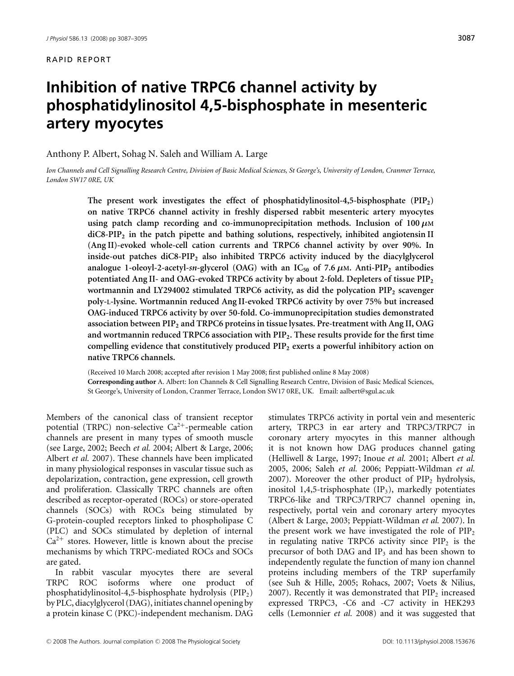# **Inhibition of native TRPC6 channel activity by phosphatidylinositol 4,5-bisphosphate in mesenteric artery myocytes**

Anthony P. Albert, Sohag N. Saleh and William A. Large

*Ion Channels and Cell Signalling Research Centre, Division of Basic Medical Sciences, St George's, University of London, Cranmer Terrace, London SW17 0RE, UK*

> **The present work investigates the effect of phosphatidylinositol-4,5-bisphosphate (PIP2) on native TRPC6 channel activity in freshly dispersed rabbit mesenteric artery myocytes using patch clamp recording and co-immunoprecipitation methods. Inclusion of 100** *μ***M diC8-PIP<sup>2</sup> in the patch pipette and bathing solutions, respectively, inhibited angiotensin II (Ang II)-evoked whole-cell cation currents and TRPC6 channel activity by over 90%. In inside-out patches diC8-PIP<sup>2</sup> also inhibited TRPC6 activity induced by the diacylglycerol analogue 1-oleoyl-2-acetyl-sn-glycerol (OAG) with an**  $IC_{50}$  **of 7.6**  $\mu$ **M. Anti-PIP<sub>2</sub> antibodies potentiated Ang II- and OAG-evoked TRPC6 activity by about 2-fold. Depleters of tissue PIP<sup>2</sup> wortmannin and LY294002 stimulated TRPC6 activity, as did the polycation PIP<sup>2</sup> scavenger poly-L-lysine. Wortmannin reduced Ang II-evoked TRPC6 activity by over 75% but increased OAG-induced TRPC6 activity by over 50-fold. Co-immunoprecipitation studies demonstrated association between PIP<sup>2</sup> and TRPC6 proteins in tissue lysates. Pre-treatment with Ang II, OAG and wortmannin reduced TRPC6 association with PIP2. These results provide for the first time compelling evidence that constitutively produced PIP<sup>2</sup> exerts a powerful inhibitory action on native TRPC6 channels.**

> (Received 10 March 2008; accepted after revision 1 May 2008; first published online 8 May 2008) **Corresponding author** A. Albert: Ion Channels & Cell Signalling Research Centre, Division of Basic Medical Sciences, St George's, University of London, Cranmer Terrace, London SW17 0RE, UK. Email: aalbert@sgul.ac.uk

Members of the canonical class of transient receptor potential (TRPC) non-selective Ca<sup>2+</sup>-permeable cation channels are present in many types of smooth muscle (see Large, 2002; Beech *et al.* 2004; Albert & Large, 2006; Albert *et al.* 2007). These channels have been implicated in many physiological responses in vascular tissue such as depolarization, contraction, gene expression, cell growth and proliferation. Classically TRPC channels are often described as receptor-operated (ROCs) or store-operated channels (SOCs) with ROCs being stimulated by G-protein-coupled receptors linked to phospholipase C (PLC) and SOCs stimulated by depletion of internal  $Ca<sup>2+</sup>$  stores. However, little is known about the precise mechanisms by which TRPC-mediated ROCs and SOCs are gated.

In rabbit vascular myocytes there are several TRPC ROC isoforms where one product of phosphatidylinositol-4,5-bisphosphate hydrolysis (PIP2) by PLC, diacylglycerol (DAG), initiates channel opening by a protein kinase C (PKC)-independent mechanism. DAG

stimulates TRPC6 activity in portal vein and mesenteric artery, TRPC3 in ear artery and TRPC3/TRPC7 in coronary artery myocytes in this manner although it is not known how DAG produces channel gating (Helliwell & Large, 1997; Inoue *et al.* 2001; Albert *et al.* 2005, 2006; Saleh *et al.* 2006; Peppiatt-Wildman *et al.* 2007). Moreover the other product of  $PIP_2$  hydrolysis, inositol 1,4,5-trisphosphate  $(IP_3)$ , markedly potentiates TRPC6-like and TRPC3/TRPC7 channel opening in, respectively, portal vein and coronary artery myocytes (Albert & Large, 2003; Peppiatt-Wildman *et al.* 2007). In the present work we have investigated the role of  $PIP_2$ in regulating native TRPC6 activity since  $PIP<sub>2</sub>$  is the precursor of both DAG and  $IP_3$  and has been shown to independently regulate the function of many ion channel proteins including members of the TRP superfamily (see Suh & Hille, 2005; Rohacs, 2007; Voets & Nilius, 2007). Recently it was demonstrated that  $PIP<sub>2</sub>$  increased expressed TRPC3, -C6 and -C7 activity in HEK293 cells (Lemonnier *et al.* 2008) and it was suggested that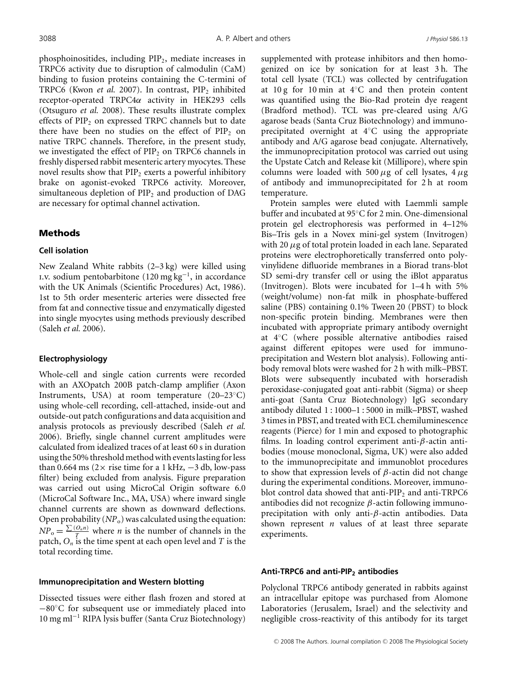phosphoinositides, including  $PIP_2$ , mediate increases in TRPC6 activity due to disruption of calmodulin (CaM) binding to fusion proteins containing the C-termini of TRPC6 (Kwon *et al.* 2007). In contrast, PIP<sub>2</sub> inhibited receptor-operated TRPC4α activity in HEK293 cells (Otsuguro *et al.* 2008). These results illustrate complex effects of  $PIP<sub>2</sub>$  on expressed TRPC channels but to date there have been no studies on the effect of  $PIP<sub>2</sub>$  on native TRPC channels. Therefore, in the present study, we investigated the effect of  $PIP_2$  on TRPC6 channels in freshly dispersed rabbit mesenteric artery myocytes. These novel results show that  $PIP<sub>2</sub>$  exerts a powerful inhibitory brake on agonist-evoked TRPC6 activity. Moreover, simultaneous depletion of  $PIP<sub>2</sub>$  and production of DAG are necessary for optimal channel activation.

## Methods

### **Cell isolation**

New Zealand White rabbits (2–3 kg) were killed using i.v. sodium pentobarbitone (120 mg kg<sup>-1</sup>, in accordance with the UK Animals (Scientific Procedures) Act, 1986). 1st to 5th order mesenteric arteries were dissected free from fat and connective tissue and enzymatically digested into single myocytes using methods previously described (Saleh *et al.* 2006).

## **Electrophysiology**

Whole-cell and single cation currents were recorded with an AXOpatch 200B patch-clamp amplifier (Axon Instruments, USA) at room temperature (20–23◦C) using whole-cell recording, cell-attached, inside-out and outside-out patch configurations and data acquisition and analysis protocols as previously described (Saleh *et al.* 2006). Briefly, single channel current amplitudes were calculated from idealized traces of at least 60 s in duration using the 50% threshold method with events lasting for less than 0.664 ms (2 $\times$  rise time for a 1 kHz,  $-3$  db, low-pass filter) being excluded from analysis. Figure preparation was carried out using MicroCal Origin software 6.0 (MicroCal Software Inc., MA, USA) where inward single channel currents are shown as downward deflections. Open probability  $(NP_0)$  was calculated using the equation:  $\overline{NP}_0 = \frac{\sum (O_n n)}{T}$  where *n* is the number of channels in the patch, *On* is the time spent at each open level and *T* is the total recording time.

#### **Immunoprecipitation and Western blotting**

Dissected tissues were either flash frozen and stored at −80◦C for subsequent use or immediately placed into 10 mg ml<sup>−</sup><sup>1</sup> RIPA lysis buffer (Santa Cruz Biotechnology)

supplemented with protease inhibitors and then homogenized on ice by sonication for at least 3 h. The total cell lysate (TCL) was collected by centrifugation at 10 g for 10 min at  $4°C$  and then protein content was quantified using the Bio-Rad protein dye reagent (Bradford method). TCL was pre-cleared using A/G agarose beads (Santa Cruz Biotechnology) and immunoprecipitated overnight at 4◦C using the appropriate antibody and A/G agarose bead conjugate. Alternatively, the immunoprecipitation protocol was carried out using the Upstate Catch and Release kit (Millipore), where spin columns were loaded with 500  $\mu$ g of cell lysates, 4  $\mu$ g of antibody and immunoprecipitated for 2 h at room temperature.

Protein samples were eluted with Laemmli sample buffer and incubated at 95◦C for 2 min. One-dimensional protein gel electrophoresis was performed in 4–12% Bis–Tris gels in a Novex mini-gel system (Invitrogen) with 20  $\mu$ g of total protein loaded in each lane. Separated proteins were electrophoretically transferred onto polyvinylidene difluoride membranes in a Biorad trans-blot SD semi-dry transfer cell or using the iBlot apparatus (Invitrogen). Blots were incubated for 1–4 h with 5% (weight/volume) non-fat milk in phosphate-buffered saline (PBS) containing 0.1% Tween 20 (PBST) to block non-specific protein binding. Membranes were then incubated with appropriate primary antibody overnight at 4◦C (where possible alternative antibodies raised against different epitopes were used for immunoprecipitation and Western blot analysis). Following antibody removal blots were washed for 2 h with milk–PBST. Blots were subsequently incubated with horseradish peroxidase-conjugated goat anti-rabbit (Sigma) or sheep anti-goat (Santa Cruz Biotechnology) IgG secondary antibody diluted 1 : 1000–1 : 5000 in milk–PBST, washed 3 times in PBST, and treated with ECL chemiluminescence reagents (Pierce) for 1 min and exposed to photographic films. In loading control experiment anti- $\beta$ -actin antibodies (mouse monoclonal, Sigma, UK) were also added to the immunoprecipitate and immunoblot procedures to show that expression levels of  $\beta$ -actin did not change during the experimental conditions. Moreover, immunoblot control data showed that anti- $PIP<sub>2</sub>$  and anti-TRPC6 antibodies did not recognize  $\beta$ -actin following immunoprecipitation with only anti- $\beta$ -actin antibodies. Data shown represent *n* values of at least three separate experiments.

#### **Anti-TRPC6 and anti-PIP2 antibodies**

Polyclonal TRPC6 antibody generated in rabbits against an intracellular epitope was purchased from Alomone Laboratories (Jerusalem, Israel) and the selectivity and negligible cross-reactivity of this antibody for its target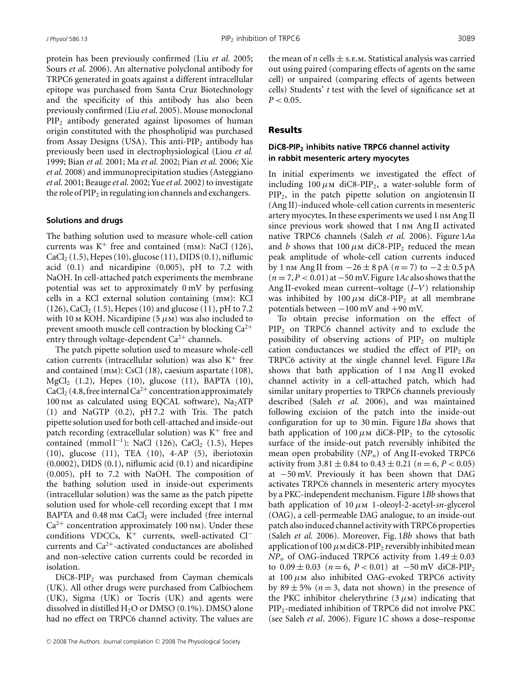protein has been previously confirmed (Liu *et al.* 2005; Sours *et al.* 2006). An alternative polyclonal antibody for TRPC6 generated in goats against a different intracellular epitope was purchased from Santa Cruz Biotechnology and the specificity of this antibody has also been previously confirmed (Liu *et al.* 2005). Mouse monoclonal  $PIP<sub>2</sub>$  antibody generated against liposomes of human origin constituted with the phospholipid was purchased from Assay Designs (USA). This anti-PIP<sub>2</sub> antibody has previously been used in electrophysiological (Liou *et al.* 1999; Bian *et al.* 2001; Ma *et al.* 2002; Pian *et al.* 2006; Xie *et al.* 2008) and immunoprecipitation studies (Asteggiano *et al.* 2001; Beauge *et al.* 2002; Yue *et al.* 2002) to investigate the role of  $PIP_2$  in regulating ion channels and exchangers.

### **Solutions and drugs**

The bathing solution used to measure whole-cell cation currents was  $K^+$  free and contained (mm): NaCl (126),  $CaCl<sub>2</sub>(1.5)$ , Hepes (10), glucose (11), DIDS (0.1), niflumic acid  $(0.1)$  and nicardipine  $(0.005)$ , pH to 7.2 with NaOH. In cell-attached patch experiments the membrane potential was set to approximately 0 mV by perfusing cells in a KCl external solution containing (mm): KCl  $(126)$ , CaCl<sub>2</sub>  $(1.5)$ , Hepes  $(10)$  and glucose  $(11)$ , pH to 7.2 with 10 m KOH. Nicardipine  $(5 \mu)$  was also included to prevent smooth muscle cell contraction by blocking  $Ca^{2+}$ entry through voltage-dependent  $Ca^{2+}$  channels.

The patch pipette solution used to measure whole-cell cation currents (intracellular solution) was also  $K^+$  free and contained (mm): CsCl (18), caesium aspartate (108),  $MgCl<sub>2</sub>$  (1.2), Hepes (10), glucose (11), BAPTA (10),  $CaCl<sub>2</sub>$  (4.8, free internal  $Ca<sup>2+</sup>$  concentration approximately 100 nm as calculated using EQCAL software),  $Na<sub>2</sub>ATP$ (1) and NaGTP (0.2), pH 7.2 with Tris. The patch pipette solution used for both cell-attached and inside-out patch recording (extracellular solution) was  $K^+$  free and contained (mmol  $l^{-1}$ ): NaCl (126), CaCl<sub>2</sub> (1.5), Hepes (10), glucose (11), TEA (10), 4-AP (5), iberiotoxin (0.0002), DIDS (0.1), niflumic acid (0.1) and nicardipine (0.005), pH to 7.2 with NaOH. The composition of the bathing solution used in inside-out experiments (intracellular solution) was the same as the patch pipette solution used for whole-cell recording except that 1 mm BAPTA and  $0.48$  mm CaCl<sub>2</sub> were included (free internal  $Ca^{2+}$  concentration approximately 100 nm). Under these conditions VDCCs, K<sup>+</sup> currents, swell-activated Cl<sup>−</sup> currents and  $Ca^{2+}$ -activated conductances are abolished and non-selective cation currents could be recorded in isolation.

DiC8-PIP<sub>2</sub> was purchased from Cayman chemicals (UK). All other drugs were purchased from Calbiochem (UK), Sigma (UK) or Tocris (UK) and agents were dissolved in distilled  $H_2O$  or DMSO (0.1%). DMSO alone had no effect on TRPC6 channel activity. The values are the mean of *n* cells  $\pm$  s.e.m. Statistical analysis was carried out using paired (comparing effects of agents on the same cell) or unpaired (comparing effects of agents between cells) Students' *t* test with the level of significance set at  $P < 0.05$ .

## Results

# **DiC8-PIP2 inhibits native TRPC6 channel activity in rabbit mesenteric artery myocytes**

In initial experiments we investigated the effect of including  $100 \mu \text{m}$  diC8-PIP<sub>2</sub>, a water-soluble form of  $PIP<sub>2</sub>$ , in the patch pipette solution on angiotensin II (Ang II)-induced whole-cell cation currents in mesenteric artery myocytes. In these experiments we used 1 nm Ang II since previous work showed that 1 nm Ang II activated native TRPC6 channels (Saleh *et al.* 2006). Figure 1*Aa* and *b* shows that 100  $\mu$ m diC8-PIP<sub>2</sub> reduced the mean peak amplitude of whole-cell cation currents induced by 1 nm Ang II from −26 ± 8 pA (*n* = 7) to −2 ± 0.5 pA (*n* = 7,*P* < 0.01) at−50 mV. Figure 1*Ac* also shows that the Ang II-evoked mean current–voltage (*I–V*) relationship was inhibited by 100  $\mu$ M diC8-PIP<sub>2</sub> at all membrane potentials between −100 mV and +90 mV.

To obtain precise information on the effect of PIP<sub>2</sub> on TRPC6 channel activity and to exclude the possibility of observing actions of  $PIP<sub>2</sub>$  on multiple cation conductances we studied the effect of  $PIP<sub>2</sub>$  on TRPC6 activity at the single channel level. Figure 1*Ba* shows that bath application of 1 nm Ang II evoked channel activity in a cell-attached patch, which had similar unitary properties to TRPC6 channels previously described (Saleh *et al.* 2006), and was maintained following excision of the patch into the inside-out configuration for up to 30 min. Figure 1*Ba* shows that bath application of 100  $\mu$ m diC8-PIP<sub>2</sub> to the cytosolic surface of the inside-out patch reversibly inhibited the mean open probability (*NP*<sub>o</sub>) of Ang II-evoked TRPC6 activity from  $3.81 \pm 0.84$  to  $0.43 \pm 0.21$  ( $n = 6, P < 0.05$ ) at −50 mV. Previously it has been shown that DAG activates TRPC6 channels in mesenteric artery myocytes by a PKC-independent mechanism. Figure 1*Bb* shows that bath application of 10 μm 1-oleoyl-2-acetyl-*sn*-glycerol (OAG), a cell-permeable DAG analogue, to an inside-out patch also induced channel activity with TRPC6 properties (Saleh *et al.* 2006). Moreover, Fig. 1*Bb* shows that bath application of 100  $\mu$ M diC8-PIP<sub>2</sub> reversibly inhibited mean  $NP<sub>o</sub>$  of OAG-induced TRPC6 activity from  $1.49 \pm 0.03$ to  $0.09 \pm 0.03$  ( $n = 6$ ,  $P < 0.01$ ) at  $-50$  mV diC8-PIP<sub>2</sub> at  $100 \mu$ M also inhibited OAG-evoked TRPC6 activity by  $89 \pm 5\%$  ( $n = 3$ , data not shown) in the presence of the PKC inhibitor chelerythrine  $(3 \mu)$  indicating that PIP2-mediated inhibition of TRPC6 did not involve PKC (see Saleh *et al*. 2006). Figure 1*C* shows a dose–response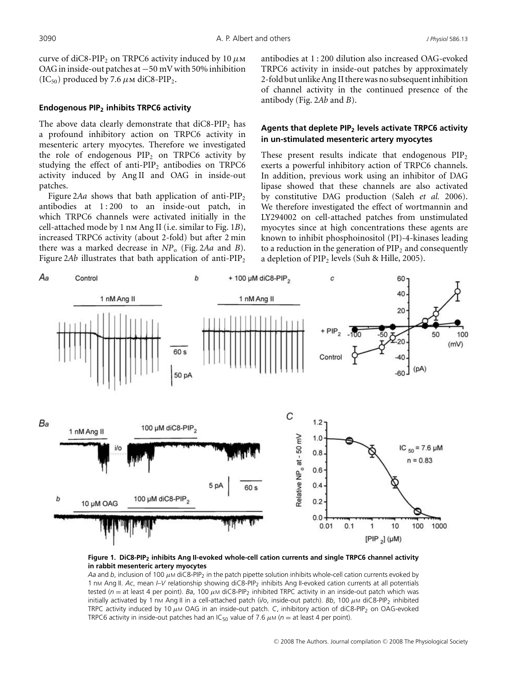curve of diC8-PIP<sub>2</sub> on TRPC6 activity induced by 10  $\mu$ M OAG in inside-out patches at−50 mV with 50% inhibition (IC<sub>50</sub>) produced by 7.6  $\mu$ M diC8-PIP<sub>2</sub>.

#### **Endogenous PIP2 inhibits TRPC6 activity**

The above data clearly demonstrate that  $diC8-PIP<sub>2</sub>$  has a profound inhibitory action on TRPC6 activity in mesenteric artery myocytes. Therefore we investigated the role of endogenous  $PIP<sub>2</sub>$  on TRPC6 activity by studying the effect of anti-PIP<sub>2</sub> antibodies on TRPC6 activity induced by Ang II and OAG in inside-out patches.

Figure 2*Aa* shows that bath application of anti- $PIP_2$ antibodies at  $1:200$  to an inside-out patch, in which TRPC6 channels were activated initially in the cell-attached mode by 1 nm Ang II (i.e. similar to Fig. 1*B*), increased TRPC6 activity (about 2-fold) but after 2 min there was a marked decrease in *NP*<sup>o</sup> (Fig. 2*Aa* and *B*). Figure  $2Ab$  illustrates that bath application of anti-PIP<sub>2</sub> antibodies at 1 : 200 dilution also increased OAG-evoked TRPC6 activity in inside-out patches by approximately 2-fold but unlike Ang II there was no subsequent inhibition of channel activity in the continued presence of the antibody (Fig. 2*Ab* and *B*).

## **Agents that deplete PIP2 levels activate TRPC6 activity in un-stimulated mesenteric artery myocytes**

These present results indicate that endogenous  $PIP<sub>2</sub>$ exerts a powerful inhibitory action of TRPC6 channels. In addition, previous work using an inhibitor of DAG lipase showed that these channels are also activated by constitutive DAG production (Saleh *et al.* 2006). We therefore investigated the effect of wortmannin and LY294002 on cell-attached patches from unstimulated myocytes since at high concentrations these agents are known to inhibit phosphoinositol (PI)-4-kinases leading to a reduction in the generation of  $\text{PIP}_2$  and consequently a depletion of  $PIP_2$  levels (Suh & Hille, 2005).



**Figure 1. DiC8-PIP2 inhibits Ang II-evoked whole-cell cation currents and single TRPC6 channel activity in rabbit mesenteric artery myocytes**

*Aa* and *b*, inclusion of 100  $\mu$ M diC8-PIP<sub>2</sub> in the patch pipette solution inhibits whole-cell cation currents evoked by 1 nm Ang II. Ac, mean  $IV$  relationship showing diC8-PIP<sub>2</sub> inhibits Ang II-evoked cation currents at all potentials tested ( $n =$  at least 4 per point). *Ba*, 100  $\mu$ M diC8-PIP<sub>2</sub> inhibited TRPC activity in an inside-out patch which was initially activated by 1 nm Ang II in a cell-attached patch (i/o, inside-out patch). *Bb*, 100 μm diC8-PIP<sub>2</sub> inhibited TRPC activity induced by 10 μ<sup>M</sup> OAG in an inside-out patch. *C*, inhibitory action of diC8-PIP2 on OAG-evoked TRPC6 activity in inside-out patches had an IC<sub>50</sub> value of 7.6  $\mu$ M ( $n =$  at least 4 per point).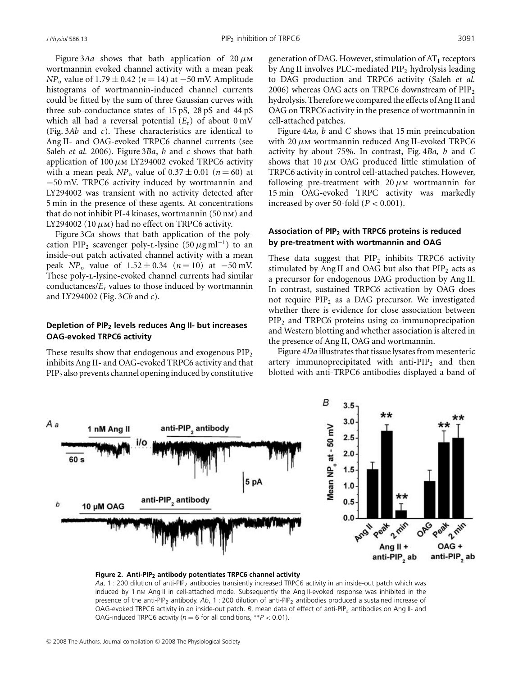Figure 3*Aa* shows that bath application of  $20 \mu M$ wortmannin evoked channel activity with a mean peak *NP*<sub>o</sub> value of 1.79 ± 0.42 (*n* = 14) at −50 mV. Amplitude histograms of wortmannin-induced channel currents could be fitted by the sum of three Gaussian curves with three sub-conductance states of 15 pS, 28 pS and 44 pS which all had a reversal potential  $(E_r)$  of about 0 mV (Fig. 3*Ab* and *c*). These characteristics are identical to Ang II- and OAG-evoked TRPC6 channel currents (see Saleh *et al.* 2006). Figure 3*Ba*, *b* and *c* shows that bath application of 100  $\mu$ M LY294002 evoked TRPC6 activity with a mean peak  $NP_0$  value of  $0.37 \pm 0.01$  ( $n = 60$ ) at −50 mV. TRPC6 activity induced by wortmannin and LY294002 was transient with no activity detected after 5 min in the presence of these agents. At concentrations that do not inhibit PI-4 kinases, wortmannin (50 nm) and LY294002 (10  $\mu$ m) had no effect on TRPC6 activity.

Figure 3*Ca* shows that bath application of the polycation PIP<sub>2</sub> scavenger poly-L-lysine (50  $\mu$ g ml<sup>-1</sup>) to an inside-out patch activated channel activity with a mean peak *NP*<sub>o</sub> value of  $1.52 \pm 0.34$  (*n* = 10) at −50 mV. These poly-L-lysine-evoked channel currents had similar conductances/ $E_r$  values to those induced by wortmannin and LY294002 (Fig. 3*Cb* and *c*).

## **Depletion of PIP2 levels reduces Ang II- but increases OAG-evoked TRPC6 activity**

These results show that endogenous and exogenous  $\text{PIP}_2$ inhibits Ang II- and OAG-evoked TRPC6 activity and that  $PIP<sub>2</sub>$  also prevents channel opening induced by constitutive generation of DAG. However, stimulation of  $AT_1$  receptors by Ang II involves PLC-mediated  $PIP<sub>2</sub>$  hydrolysis leading to DAG production and TRPC6 activity (Saleh *et al.* 2006) whereas OAG acts on TRPC6 downstream of  $PIP<sub>2</sub>$ hydrolysis. Therefore we compared the effects of Ang II and OAG on TRPC6 activity in the presence of wortmannin in cell-attached patches.

Figure 4*Aa, b* and *C* shows that 15 min preincubation with  $20 \mu$ M wortmannin reduced Ang II-evoked TRPC6 activity by about 75%. In contrast, Fig. 4*Ba, b* and *C* shows that  $10 \mu M$  OAG produced little stimulation of TRPC6 activity in control cell-attached patches. However, following pre-treatment with  $20 \mu$ M wortmannin for 15 min OAG-evoked TRPC activity was markedly increased by over 50-fold  $(P < 0.001)$ .

## **Association of PIP2 with TRPC6 proteins is reduced by pre-treatment with wortmannin and OAG**

These data suggest that  $PIP_2$  inhibits TRPC6 activity stimulated by Ang II and OAG but also that  $PIP<sub>2</sub>$  acts as a precursor for endogenous DAG production by Ang II. In contrast, sustained TRPC6 activation by OAG does not require  $PIP_2$  as a DAG precursor. We investigated whether there is evidence for close association between PIP<sub>2</sub> and TRPC6 proteins using co-immunoprecipation and Western blotting and whether association is altered in the presence of Ang II, OAG and wortmannin.

Figure 4*Da* illustrates that tissue lysates from mesenteric artery immunoprecipitated with anti- $PIP_2$  and then blotted with anti-TRPC6 antibodies displayed a band of



#### **Figure 2. Anti-PIP<sub>2</sub> antibody potentiates TRPC6 channel activity**

Aa, 1 : 200 dilution of anti-PIP<sub>2</sub> antibodies transiently increased TRPC6 activity in an inside-out patch which was induced by 1 nm Ang II in cell-attached mode. Subsequently the Ang II-evoked response was inhibited in the presence of the anti-PIP2 antibody. *Ab*, 1 : 200 dilution of anti-PIP2 antibodies produced a sustained increase of OAG-evoked TRPC6 activity in an inside-out patch. *B*, mean data of effect of anti-PIP<sub>2</sub> antibodies on Ang II- and OAG-induced TRPC6 activity ( $n = 6$  for all conditions,  $*P < 0.01$ ).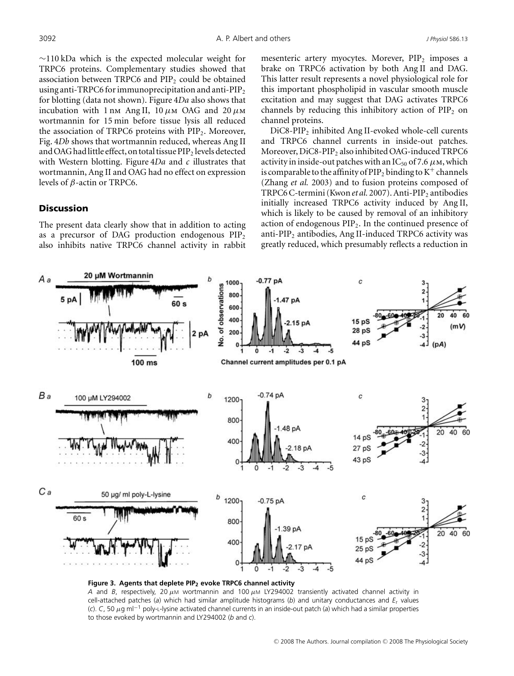∼110 kDa which is the expected molecular weight for TRPC6 proteins. Complementary studies showed that association between TRPC6 and  $PIP<sub>2</sub>$  could be obtained using anti-TRPC6 for immunoprecipitation and anti-PIP<sub>2</sub> for blotting (data not shown). Figure 4*Da* also shows that incubation with 1 nm Ang II,  $10 \mu$ m OAG and  $20 \mu$ m wortmannin for 15 min before tissue lysis all reduced the association of TRPC6 proteins with  $PIP_2$ . Moreover, Fig. 4*Db* shows that wortmannin reduced, whereas Ang II and OAG had little effect, on total tissue PIP<sub>2</sub> levels detected with Western blotting. Figure 4*Da* and *c* illustrates that wortmannin, Ang II and OAG had no effect on expression levels of β-actin or TRPC6.

## **Discussion**

The present data clearly show that in addition to acting as a precursor of DAG production endogenous  $PIP<sub>2</sub>$ also inhibits native TRPC6 channel activity in rabbit mesenteric artery myocytes. Morever,  $PIP<sub>2</sub>$  imposes a brake on TRPC6 activation by both Ang II and DAG. This latter result represents a novel physiological role for this important phospholipid in vascular smooth muscle excitation and may suggest that DAG activates TRPC6 channels by reducing this inhibitory action of  $PIP<sub>2</sub>$  on channel proteins.

DiC8-PIP<sub>2</sub> inhibited Ang II-evoked whole-cell curents and TRPC6 channel currents in inside-out patches. Moreover, DiC8-PIP<sub>2</sub> also inhibited OAG-induced TRPC6 activity in inside-out patches with an  $IC_{50}$  of 7.6  $\mu$ M, which is comparable to the affinity of  $\text{PIP}_2$  binding to K<sup>+</sup> channels (Zhang *et al.* 2003) and to fusion proteins composed of TRPC6 C-termini (Kwon et al. 2007). Anti-PIP<sub>2</sub> antibodies initially increased TRPC6 activity induced by Ang II, which is likely to be caused by removal of an inhibitory action of endogenous  $\text{PIP}_2$ . In the continued presence of anti-PIP<sub>2</sub> antibodies, Ang II-induced TRPC6 activity was greatly reduced, which presumably reflects a reduction in



*A* and *B*, respectively, 20  $\mu$ M wortmannin and 100  $\mu$ M LY294002 transiently activated channel activity in cell-attached patches (*a*) which had similar amplitude histograms (*b*) and unitary conductances and *E*<sup>r</sup> values (*c*). *C*, 50 μg ml−<sup>1</sup> poly-L-lysine activated channel currents in an inside-out patch (*a*) which had a similar properties to those evoked by wortmannin and LY294002 (*b* and *c*).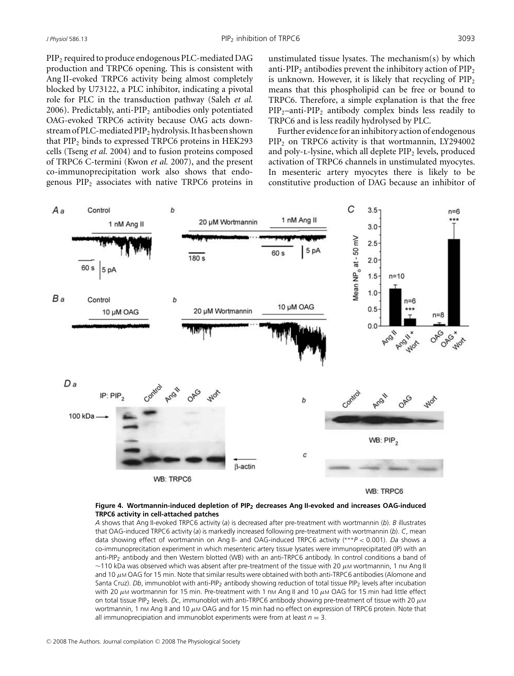PIP<sub>2</sub> required to produce endogenous PLC-mediated DAG production and TRPC6 opening. This is consistent with Ang II-evoked TRPC6 activity being almost completely blocked by U73122, a PLC inhibitor, indicating a pivotal role for PLC in the transduction pathway (Saleh *et al.* 2006). Predictably, anti-PIP<sub>2</sub> antibodies only potentiated OAG-evoked TRPC6 activity because OAG acts downstream of PLC-mediated PIP2 hydrolysis. It has been shown that PIP<sub>2</sub> binds to expressed TRPC6 proteins in HEK293 cells (Tseng *et al.* 2004) and to fusion proteins composed of TRPC6 C-termini (Kwon *et al.* 2007), and the present co-immunoprecipitation work also shows that endogenous  $PIP<sub>2</sub>$  associates with native TRPC6 proteins in unstimulated tissue lysates. The mechanism(s) by which anti-PIP<sub>2</sub> antibodies prevent the inhibitory action of PIP<sub>2</sub> is unknown. However, it is likely that recycling of  $PIP<sub>2</sub>$ means that this phospholipid can be free or bound to TRPC6. Therefore, a simple explanation is that the free  $PIP_2$ –anti- $PIP_2$  antibody complex binds less readily to TRPC6 and is less readily hydrolysed by PLC.

Further evidence for an inhibitory action of endogenous PIP2 on TRPC6 activity is that wortmannin, LY294002 and poly-L-lysine, which all deplete  $PIP<sub>2</sub>$  levels, produced activation of TRPC6 channels in unstimulated myocytes. In mesenteric artery myocytes there is likely to be constitutive production of DAG because an inhibitor of



#### **Figure 4. Wortmannin-induced depletion of PIP2 decreases Ang II-evoked and increases OAG-induced TRPC6 activity in cell-attached patches**

*A* shows that Ang II-evoked TRPC6 activity (*a*) is decreased after pre-treatment with wortmannin (*b*). *B* illustrates that OAG-induced TRPC6 activity (*a*) is markedly increased following pre-treatment with wortmannin (*b*). *C*, mean data showing effect of wortmannin on Ang II- and OAG-induced TRPC6 activity (∗∗∗*P* < 0.001). *Da* shows a co-immunoprecitation experiment in which mesenteric artery tissue lysates were immunoprecipitated (IP) with an anti-PIP2 antibody and then Western blotted (WB) with an anti-TRPC6 antibody. In control conditions a band of  $\sim$ 110 kDa was observed which was absent after pre-treatment of the tissue with 20  $\mu$ M wortmannin, 1 nM Ang II and 10  $\mu$ M OAG for 15 min. Note that similar results were obtained with both anti-TRPC6 antibodies (Alomone and Santa Cruz). *Db*, immunoblot with anti-PIP<sub>2</sub> antibody showing reduction of total tissue PIP<sub>2</sub> levels after incubation with 20 μM wortmannin for 15 min. Pre-treatment with 1 nM Ang II and 10 μM OAG for 15 min had little effect on total tissue PIP2 levels. *Dc*, immunoblot with anti-TRPC6 antibody showing pre-treatment of tissue with 20 μ<sup>M</sup> wortmannin, 1 nM Ang II and 10 μM OAG and for 15 min had no effect on expression of TRPC6 protein. Note that all immunoprecipiation and immunoblot experiments were from at least  $n = 3$ .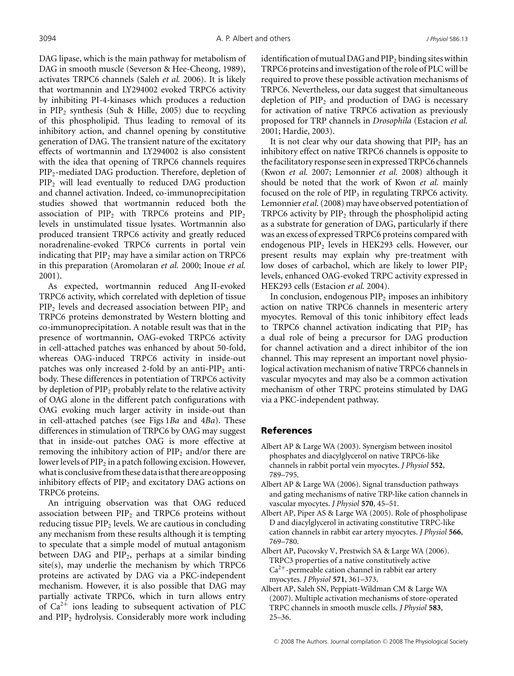DAG lipase, which is the main pathway for metabolism of DAG in smooth muscle (Severson & Hee-Cheong, 1989), activates TRPC6 channels (Saleh *et al.* 2006). It is likely that wortmannin and LY294002 evoked TRPC6 activity by inhibiting PI-4-kinases which produces a reduction in  $PIP_2$  synthesis (Suh & Hille, 2005) due to recycling of this phospholipid. Thus leading to removal of its inhibitory action, and channel opening by constitutive generation of DAG. The transient nature of the excitatory effects of wortmannin and LY294002 is also consistent with the idea that opening of TRPC6 channels requires PIP2-mediated DAG production. Therefore, depletion of PIP<sub>2</sub> will lead eventually to reduced DAG production and channel activation. Indeed, co-immunoprecipitation studies showed that wortmannin reduced both the association of  $PIP_2$  with TRPC6 proteins and  $PIP_2$ levels in unstimulated tissue lysates. Wortmannin also produced transient TRPC6 activity and greatly reduced noradrenaline-evoked TRPC6 currents in portal vein indicating that  $PIP_2$  may have a similar action on TRPC6 in this preparation (Aromolaran *et al.* 2000; Inoue *et al.* 2001).

As expected, wortmannin reduced Ang II-evoked TRPC6 activity, which correlated with depletion of tissue  $PIP<sub>2</sub>$  levels and decreased association between  $PIP<sub>2</sub>$  and TRPC6 proteins demonstrated by Western blotting and co-immunoprecipitation. A notable result was that in the presence of wortmannin, OAG-evoked TRPC6 activity in cell-attached patches was enhanced by about 50-fold, whereas OAG-induced TRPC6 activity in inside-out patches was only increased 2-fold by an anti- $PIP<sub>2</sub>$  antibody. These differences in potentiation of TRPC6 activity by depletion of  $PIP_2$  probably relate to the relative activity of OAG alone in the different patch configurations with OAG evoking much larger activity in inside-out than in cell-attached patches (see Figs 1*Ba* and 4*Ba*). These differences in stimulation of TRPC6 by OAG may suggest that in inside-out patches OAG is more effective at removing the inhibitory action of  $PIP<sub>2</sub>$  and/or there are lower levels of  $PIP<sub>2</sub>$  in a patch following excision. However, what is conclusive from these data is that there are opposing inhibitory effects of  $PIP_2$  and excitatory DAG actions on TRPC6 proteins.

An intriguing observation was that OAG reduced association between  $PIP<sub>2</sub>$  and TRPC6 proteins without reducing tissue  $PIP<sub>2</sub>$  levels. We are cautious in concluding any mechanism from these results although it is tempting to speculate that a simple model of mutual antagonism between DAG and  $PIP_2$ , perhaps at a similar binding site(s), may underlie the mechanism by which TRPC6 proteins are activated by DAG via a PKC-independent mechanism. However, it is also possible that DAG may partially activate TRPC6, which in turn allows entry of  $Ca^{2+}$  ions leading to subsequent activation of PLC and  $PIP<sub>2</sub>$  hydrolysis. Considerably more work including identification of mutual DAG and  $PIP_2$  binding sites within TRPC6 proteins and investigation of the role of PLC will be required to prove these possible activation mechanisms of TRPC6. Nevertheless, our data suggest that simultaneous depletion of  $PIP_2$  and production of DAG is necessary for activation of native TRPC6 activation as previously proposed for TRP channels in *Drosophila* (Estacion *et al.* 2001; Hardie, 2003).

It is not clear why our data showing that  $\text{PIP}_2$  has an inhibitory effect on native TRPC6 channels is opposite to the facilitatory response seen in expressed TRPC6 channels (Kwon *et al.* 2007; Lemonnier *et al.* 2008) although it should be noted that the work of Kwon *et al.* mainly focused on the role of  $PIP<sub>3</sub>$  in regulating TRPC6 activity. Lemonnier*et al.*(2008) may have observed potentiation of TRPC6 activity by  $PIP_2$  through the phospholipid acting as a substrate for generation of DAG, particularly if there was an excess of expressed TRPC6 proteins compared with endogenous PIP<sub>2</sub> levels in HEK293 cells. However, our present results may explain why pre-treatment with low doses of carbachol, which are likely to lower  $\text{PID}_2$ levels, enhanced OAG-evoked TRPC activity expressed in HEK293 cells (Estacion *et al.* 2004).

In conclusion, endogenous  $\text{PIP}_2$  imposes an inhibitory action on native TRPC6 channels in mesenteric artery myocytes. Removal of this tonic inhibitory effect leads to TRPC6 channel activation indicating that  $PIP_2$  has a dual role of being a precursor for DAG production for channel activation and a direct inhibitor of the ion channel. This may represent an important novel physiological activation mechanism of native TRPC6 channels in vascular myocytes and may also be a common activation mechanism of other TRPC proteins stimulated by DAG via a PKC-independent pathway.

## References

- Albert AP & Large WA (2003). Synergism between inositol phosphates and diacylglycerol on native TRPC6-like channels in rabbit portal vein myocytes. *J Physiol* **552**, 789–795.
- Albert AP & Large WA (2006). Signal transduction pathways and gating mechanisms of native TRP-like cation channels in vascular myocytes. *J Physiol* **570**, 45–51.
- Albert AP, Piper AS & Large WA (2005). Role of phospholipase D and diacylglycerol in activating constitutive TRPC-like cation channels in rabbit ear artery myocytes. *J Physiol* **566**, 769–780.
- Albert AP, Pucovsky V, Prestwich SA & Large WA (2006). TRPC3 properties of a native constitutively active  $Ca<sup>2+</sup>$ -permeable cation channel in rabbit ear artery myocytes. *J Physiol* **571**, 361–373.
- Albert AP, Saleh SN, Peppiatt-Wildman CM & Large WA (2007). Multiple activation mechanisms of store-operated TRPC channels in smooth muscle cells. *J Physiol* **583**, 25–36.